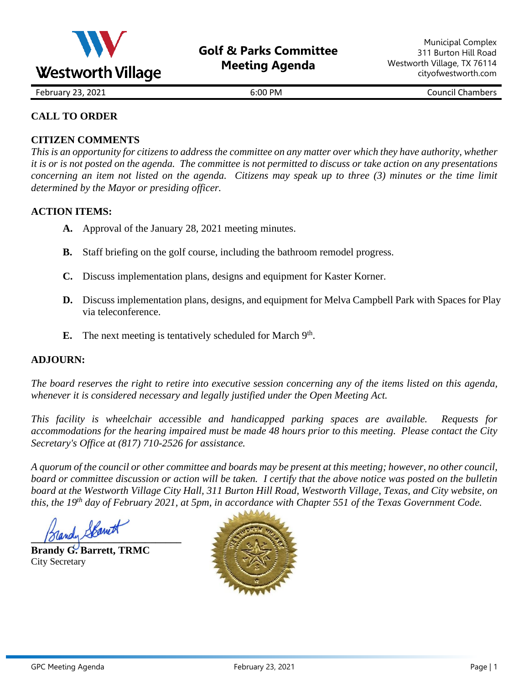

February 23, 2021 **6:00 PM** 6:00 PM Council Chambers

## **CALL TO ORDER**

### **CITIZEN COMMENTS**

*This is an opportunity for citizens to address the committee on any matter over which they have authority, whether it is or is not posted on the agenda. The committee is not permitted to discuss or take action on any presentations concerning an item not listed on the agenda. Citizens may speak up to three (3) minutes or the time limit determined by the Mayor or presiding officer.*

### **ACTION ITEMS:**

- **A.** Approval of the January 28, 2021 meeting minutes.
- **B.** Staff briefing on the golf course, including the bathroom remodel progress.
- **C.** Discuss implementation plans, designs and equipment for Kaster Korner.
- **D.** Discuss implementation plans, designs, and equipment for Melva Campbell Park with Spaces for Play via teleconference.
- E. The next meeting is tentatively scheduled for March 9<sup>th</sup>.

#### **ADJOURN:**

*The board reserves the right to retire into executive session concerning any of the items listed on this agenda, whenever it is considered necessary and legally justified under the Open Meeting Act.*

*This facility is wheelchair accessible and handicapped parking spaces are available. Requests for accommodations for the hearing impaired must be made 48 hours prior to this meeting. Please contact the City Secretary's Office at (817) 710-2526 for assistance.*

*A quorum of the council or other committee and boards may be present at this meeting; however, no other council, board or committee discussion or action will be taken. I certify that the above notice was posted on the bulletin board at the Westworth Village City Hall, 311 Burton Hill Road, Westworth Village, Texas, and City website, on this, the 19th day of February 2021, at 5pm, in accordance with Chapter 551 of the Texas Government Code.* 

**\_\_\_\_\_\_\_\_\_\_\_\_\_\_\_\_\_\_\_\_\_\_\_\_\_\_\_\_\_**

**Brandy G. Barrett, TRMC** City Secretary

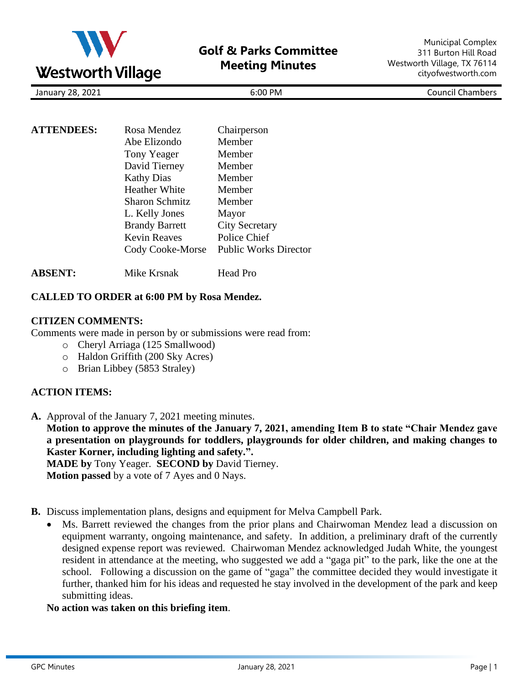

January 28, 2021 6:00 PM Council Chambers

| <b>ATTENDEES:</b> | Rosa Mendez           | Chairperson                  |
|-------------------|-----------------------|------------------------------|
|                   | Abe Elizondo          | Member                       |
|                   | Tony Yeager           | Member                       |
|                   | David Tierney         | Member                       |
|                   | <b>Kathy Dias</b>     | Member                       |
|                   | <b>Heather White</b>  | Member                       |
|                   | <b>Sharon Schmitz</b> | Member                       |
|                   | L. Kelly Jones        | Mayor                        |
|                   | <b>Brandy Barrett</b> | <b>City Secretary</b>        |
|                   | <b>Kevin Reaves</b>   | Police Chief                 |
|                   | Cody Cooke-Morse      | <b>Public Works Director</b> |
|                   |                       |                              |

## **ABSENT:** Mike Krsnak Head Pro

#### **CALLED TO ORDER at 6:00 PM by Rosa Mendez.**

#### **CITIZEN COMMENTS:**

Comments were made in person by or submissions were read from:

- o Cheryl Arriaga (125 Smallwood)
- o Haldon Griffith (200 Sky Acres)
- o Brian Libbey (5853 Straley)

## **ACTION ITEMS:**

- **A.** Approval of the January 7, 2021 meeting minutes. **Motion to approve the minutes of the January 7, 2021, amending Item B to state "Chair Mendez gave a presentation on playgrounds for toddlers, playgrounds for older children, and making changes to Kaster Korner, including lighting and safety.". MADE by** Tony Yeager. **SECOND by** David Tierney. **Motion passed** by a vote of 7 Ayes and 0 Nays.
- **B.** Discuss implementation plans, designs and equipment for Melva Campbell Park.
	- Ms. Barrett reviewed the changes from the prior plans and Chairwoman Mendez lead a discussion on equipment warranty, ongoing maintenance, and safety. In addition, a preliminary draft of the currently designed expense report was reviewed. Chairwoman Mendez acknowledged Judah White, the youngest resident in attendance at the meeting, who suggested we add a "gaga pit" to the park, like the one at the school. Following a discussion on the game of "gaga" the committee decided they would investigate it further, thanked him for his ideas and requested he stay involved in the development of the park and keep submitting ideas.
	- **No action was taken on this briefing item**.